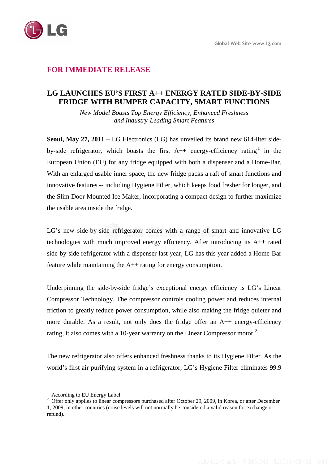

## **FOR IMMEDIATE RELEASE**

## **LG LAUNCHES EU'S FIRST A++ ENERGY RATED SIDE-BY-SIDE FRIDGE WITH BUMPER CAPACITY, SMART FUNCTIONS**

*New Model Boasts Top Energy Efficiency, Enhanced Freshness and Industry-Leading Smart Features* 

**Seoul, May 27, 2011 –** LG Electronics (LG) has unveiled its brand new 614-liter sideby-side refrigerator, which boasts the first  $A++$  energy-efficiency rating in the European Union (EU) for any fridge equipped with both a dispenser and a Home-Bar. With an enlarged usable inner space, the new fridge packs a raft of smart functions and innovative features -- including Hygiene Filter, which keeps food fresher for longer, and the Slim Door Mounted Ice Maker, incorporating a compact design to further maximize the usable area inside the fridge.

LG's new side-by-side refrigerator comes with a range of smart and innovative LG technologies with much improved energy efficiency. After introducing its A++ rated side-by-side refrigerator with a dispenser last year, LG has this year added a Home-Bar feature while maintaining the A++ rating for energy consumption.

Underpinning the side-by-side fridge's exceptional energy efficiency is LG's Linear Compressor Technology. The compressor controls cooling power and reduces internal friction to greatly reduce power consumption, while also making the fridge quieter and more durable. As a result, not only does the fridge offer an A++ energy-efficiency rating, it also comes with a 10-year warranty on the Linear Compressor motor.<sup>2</sup>

The new refrigerator also offers enhanced freshness thanks to its Hygiene Filter. As the world's first air purifying system in a refrigerator, LG's Hygiene Filter eliminates 99.9

 $\overline{a}$ 

<sup>&</sup>lt;sup>1</sup> According to EU Energy Label

<sup>&</sup>lt;sup>2</sup> Offer only applies to linear compressors purchased after October 29, 2009, in Korea, or after December 1, 2009, in other countries (noise levels will not normally be considered a valid reason for exchange or refund).